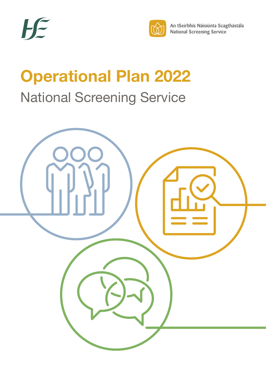



An tSeirbhís Náisiúnta Scagthástála **National Screening Service** 

# **Operational Plan 2022** National Screening Service

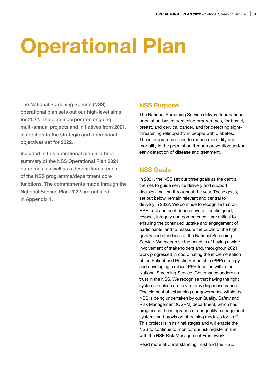# **Operational Plan**

The National Screening Service (NSS) operational plan sets out our high-level aims for 2022. The plan incorporates ongoing multi-annual projects and initiatives from 2021, in addition to the strategic and operational objectives set for 2022.

Included in this operational plan is a brief summary of the NSS Operational Plan 2021 outcomes, as well as a description of each of the NSS programme/department core functions. The commitments made through the National Service Plan 2022 are outlined in Appendix 1.

## **NSS Purpose**

The National Screening Service delivers four national population-based screening programmes, for bowel, breast, and cervical cancer, and for detecting sightthreatening retinopathy in people with diabetes. These programmes aim to reduce morbidity and mortality in the population through prevention and/or early detection of disease and treatment.

# **NSS Goals**

In 2021, the NSS set out three goals as the central themes to guide service delivery and support decision-making throughout the year. These goals, set out below, remain relevant and central to delivery in 2022. We continue to recognise that our HSE trust and confidence drivers – public good, respect, integrity and competence – are critical to ensuring the continued uptake and engagement of participants, and to reassure the public of the high quality and standards of the National Screening Service. We recognise the benefits of having a wide involvement of stakeholders and, throughout 2021, work progressed in coordinating the implementation of the Patient and Public Partnership (PPP) strategy and developing a robust PPP function within the National Screening Service. Governance underpins trust in the NSS. We recognise that having the right systems in place are key to providing reassurance. One element of enhancing our governance within the NSS is being undertaken by our Quality, Safety and Risk Management (QSRM) department, which has progressed the integration of our quality management systems and provision of training modules for staff. This project is in its final stages and will enable the NSS to continue to monitor our risk register in line with the HSE Risk Management Framework.

Read more at [Understanding Trust and the HSE.](https://healthservice.hse.ie/filelibrary/staff/understanding-trust-and-the-hse.pdf)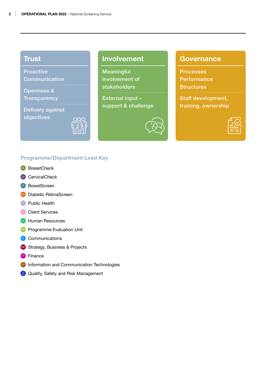# **Trust**

**Proactive Communication**

**Openness &** 

**Transparency**

**Delivery against objectives**



# **Involvement**

**Meaningful involvement of stakeholders External input – support & challenge**

# **Governance**

**Processes Performance Structures Staff development, training, ownership**



### **Programme/Department Lead Key**

- BreastCheck
- CervicalCheck
- **BowelScreen**
- **Diabetic RetinaScreen**
- **PH** Public Health
- **Client Services**
- **Human Resources**
- **PEU** Programme Evaluation Unit
- **C** Communications
- SBP Strategy, Business & Projects
- **F** Finance
- **ICT** Information and Communication Technologies
- **RM** Quality, Safety and Risk Management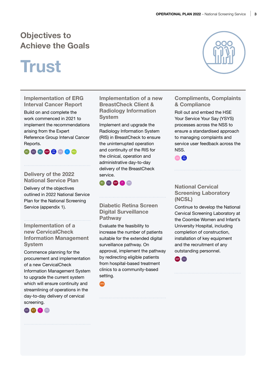# **Objectives to Achieve the Goals**

# **Trust**

**Implementation of ERG Interval Cancer Report** 

Build on and complete the work commenced in 2021 to implement the recommendations arising from the Expert Reference Group Interval Cancer Reports.

BC CC BS SBP  $_{\text{EM}}^{\text{OS}}$  (PH C PEU

#### **Delivery of the 2022 National Service Plan**

Delivery of the objectives outlined in 2022 National Service Plan for the National Screening Service (appendix 1).

**Implementation of a new CervicalCheck Information Management System** 

Commence planning for the procurement and implementation of a new CervicalCheck Information Management System to upgrade the current system which will ensure continuity and streamlining of operations in the day-to-day delivery of cervical screening.



**Implementation of a new BreastCheck Client & Radiology Information System** 

Implement and upgrade the Radiology Information System (RIS) in BreastCheck to ensure the uninterrupted operation and continuity of the RIS for the clinical, operation and administrative day-to-day delivery of the BreastCheck service.



## **Diabetic Retina Screen Digital Surveillance Pathway**

Evaluate the feasibility to increase the number of patients suitable for the extended digital surveillance pathway. On approval, implement the pathway by redirecting eligible patients from hospital-based treatment clinics to a community-based setting.





### **Compliments, Complaints & Compliance**

Roll out and embed the HSE Your Service Your Say (YSYS) processes across the NSS to ensure a standardised approach to managing complaints and service user feedback across the NSS.



### **National Cervical Screening Laboratory (NCSL)**

Continue to develop the National Cervical Screening Laboratory at the Coombe Women and Infant's University Hospital, including completion of construction, installation of key equipment and the recruitment of any outstanding personnel.

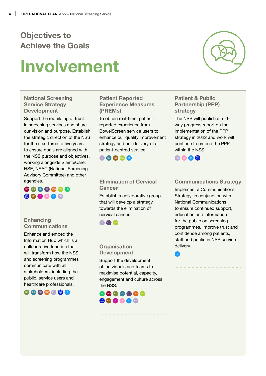# **Objectives to Achieve the Goals**

# **Involvement**

### **National Screening Service Strategy Development**

Support the rebuilding of trust in screening services and share our vision and purpose. Establish the strategic direction of the NSS for the next three to five years to ensure goals are aligned with the NSS purpose and objectives, working alongside SláinteCare, HSE, NSAC (National Screening Advisory Committee) and other agencies.

# SBP BC BS CC DRS PEU HR QS C PH

# **Enhancing Communications**

Enhance and embed the Information Hub which is a collaborative function that will transform how the NSS and screening programmes communicate with all stakeholders, including the public, service users and healthcare professionals.



### **Patient Reported Experience Measures (PREMs)**

To obtain real-time, patientreported experience from BowelScreen service users to enhance our quality improvement strategy and our delivery of a patient-centred service.



### **Elimination of Cervical Cancer**

Establish a collaborative group that will develop a strategy towards the elimination of cervical cancer.



## **Organisation Development**

Support the development of individuals and teams to maximise potential, capacity, engagement and culture across the NSS.

# HR SBP BC BS CC DRS PEU RM ICT F CS C PH



## **Patient & Public Partnership (PPP) strategy**

The NSS will publish a midway progress report on the implementation of the PPP strategy in 2022 and work will continue to embed the PPP within the NSS.



C

# **Communications Strategy**

Implement a Communications Strategy, in conjunction with National Communications, to ensure continued support, education and information for the public on screening programmes. Improve trust and confidence among patients, staff and public in NSS service delivery.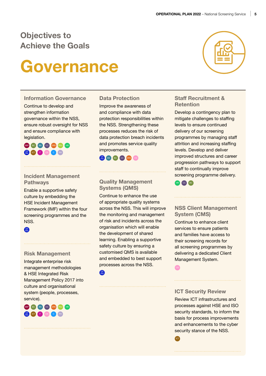# **Objectives to Achieve the Goals**

# **Governance**

#### **Information Governance**

Continue to develop and strengthen information governance within the NSS, ensure robust oversight for NSS and ensure compliance with legislation.

SBP BC BS CC DRS PEU HR RM ICT F CS C PH

#### **Incident Management Pathways**

Enable a supportive safety culture by embedding the HSE Incident Management Framework (IMF) within the four screening programmes and the NSS.

QS RM

#### **Risk Management**

Integrate enterprise risk management methodologies & HSE Integrated Risk Management Policy 2017 into culture and organisational system (people, processes, service).



#### **Data Protection**

Improve the awareness of and compliance with data protection responsibilities within the NSS. Strengthening these processes reduces the risk of data protection breach incidents and promotes service quality improvements.



#### **Quality Management Systems (QMS)**

Continue to enhance the use of appropriate quality systems across the NSS. This will improve the monitoring and management of risk and incidents across the organisation which will enable the development of shared learning. Enabling a supportive safety culture by ensuring a customised QMS is available and embedded to best support processes across the NSS.



# **Staff Recruitment &**

**Retention**

Develop a contingency plan to mitigate challenges to staffing levels to ensure continued delivery of our screening programmes by managing staff attrition and increasing staffing levels. Develop and deliver improved structures and career progression pathways to support staff to continually improve screening programme delivery.



### **NSS Client Management System (CMS)**

Continue to enhance client services to ensure patients and families have access to their screening records for all screening programmes by delivering a dedicated Client Management System.

CS

**ICT** 

#### **ICT Security Review**

Review ICT infrastructures and processes against HSE and ISO security standards, to inform the basis for process improvements and enhancements to the cyber security stance of the NSS.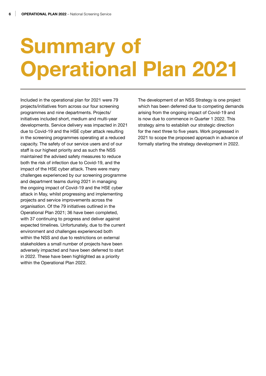# **Summary of Operational Plan 2021**

Included in the operational plan for 2021 were 79 projects/initiatives from across our four screening programmes and nine departments. Projects/ initiatives included short, medium and multi-year developments. Service delivery was impacted in 2021 due to Covid-19 and the HSE cyber attack resulting in the screening programmes operating at a reduced capacity. The safety of our service users and of our staff is our highest priority and as such the NSS maintained the advised safety measures to reduce both the risk of infection due to Covid-19, and the impact of the HSE cyber attack. There were many challenges experienced by our screening programme and department teams during 2021 in managing the ongoing impact of Covid-19 and the HSE cyber attack in May, whilst progressing and implementing projects and service improvements across the organisation. Of the 79 initiatives outlined in the Operational Plan 2021; 36 have been completed, with 37 continuing to progress and deliver against expected timelines. Unfortunately, due to the current environment and challenges experienced both within the NSS and due to restrictions on external stakeholders a small number of projects have been adversely impacted and have been deferred to start in 2022. These have been highlighted as a priority within the Operational Plan 2022.

The development of an NSS Strategy is one project which has been deferred due to competing demands arising from the ongoing impact of Covid-19 and is now due to commence in Quarter 1 2022. This strategy aims to establish our strategic direction for the next three to five years. Work progressed in 2021 to scope the proposed approach in advance of formally starting the strategy development in 2022.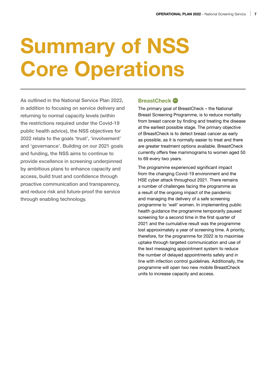# **Summary of NSS Core Operations**

As outlined in the National Service Plan 2022, in addition to focusing on service delivery and returning to normal capacity levels (within the restrictions required under the Covid-19 public health advice), the NSS objectives for 2022 relate to the goals 'trust', 'involvement' and 'governance'. Building on our 2021 goals and funding, the NSS aims to continue to provide excellence in screening underpinned by ambitious plans to enhance capacity and access, build trust and confidence through proactive communication and transparency, and reduce risk and future-proof the service through enabling technology.

### **BreastCheck** BC

The primary goal of BreastCheck – the National Breast Screening Programme, is to reduce mortality from breast cancer by finding and treating the disease at the earliest possible stage. The primary objective of BreastCheck is to detect breast cancer as early as possible, as it is normally easier to treat and there are greater treatment options available. BreastCheck currently offers free mammograms to women aged 50 to 69 every two years.

The programme experienced significant impact from the changing Covid-19 environment and the HSE cyber attack throughout 2021. There remains a number of challenges facing the programme as a result of the ongoing impact of the pandemic and managing the delivery of a safe screening programme to 'well' women. In implementing public health guidance the programme temporarily paused screening for a second time in the first quarter of 2021 and the cumulative result was the programme lost approximately a year of screening time. A priority, therefore, for the programme for 2022 is to maximise uptake through targeted communication and use of the text messaging appointment system to reduce the number of delayed appointments safely and in line with infection control guidelines. Additionally, the programme will open two new mobile BreastCheck units to increase capacity and access.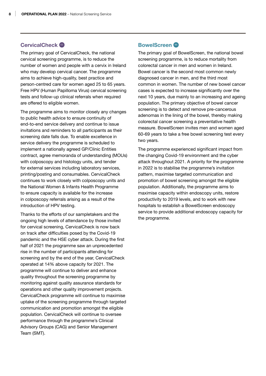#### **CervicalCheck** <sup>C</sup>

The primary goal of CervicalCheck, the national cervical screening programme, is to reduce the number of women and people with a cervix in Ireland who may develop cervical cancer. The programme aims to achieve high-quality, best practice and person-centred care for women aged 25 to 65 years. Free HPV (Human Papilloma Virus) cervical screening tests and follow-up clinical referrals when required are offered to eligible women.

The programme aims to monitor closely any changes to public health advice to ensure continuity of end-to-end service delivery and continue to issue invitations and reminders to all participants as their screening date falls due. To enable excellence in service delivery the programme is scheduled to implement a nationally agreed GP/Clinic Entities contract, agree memoranda of understanding (MOUs) with colposcopy and histology units, and tender for external services including laboratory services, printing/posting and consumables. CervicalCheck continues to work closely with colposcopy units and the National Women & Infants Health Programme to ensure capacity is available for the increase in colposcopy referrals arising as a result of the introduction of HPV testing.

Thanks to the efforts of our sampletakers and the ongoing high levels of attendance by those invited for cervical screening, CervicalCheck is now back on track after difficulties posed by the Covid-19 pandemic and the HSE cyber attack. During the first half of 2021 the programme saw an unprecedented rise in the number of participants attending for screening and by the end of the year, CervicalCheck operated at 14% above capacity for 2021. The programme will continue to deliver and enhance quality throughout the screening programme by monitoring against quality assurance standards for operations and other quality improvement projects. CervicalCheck programme will continue to maximise uptake of the screening programme through targeted communication and promotion amongst the eligible population. CervicalCheck will continue to oversee performance through the programme's Clinical Advisory Groups (CAG) and Senior Management Team (SMT).

#### **BowelScreen**

The primary goal of BowelScreen, the national bowel screening programme, is to reduce mortality from colorectal cancer in men and women in Ireland. Bowel cancer is the second most common newly diagnosed cancer in men, and the third most common in women. The number of new bowel cancer cases is expected to increase significantly over the next 10 years, due mainly to an increasing and ageing population. The primary objective of bowel cancer screening is to detect and remove pre-cancerous adenomas in the lining of the bowel, thereby making colorectal cancer screening a preventative health measure. BowelScreen invites men and women aged 60-69 years to take a free bowel screening test every two years.

The programme experienced significant impact from the changing Covid-19 environment and the cyber attack throughout 2021. A priority for the programme in 2022 is to stabilise the programme's invitation pattern, maximise targeted communication and promotion of bowel screening amongst the eligible population. Additionally, the programme aims to maximise capacity within endoscopy units, restore productivity to 2019 levels, and to work with new hospitals to establish a BowelScreen endoscopy service to provide additional endoscopy capacity for the programme.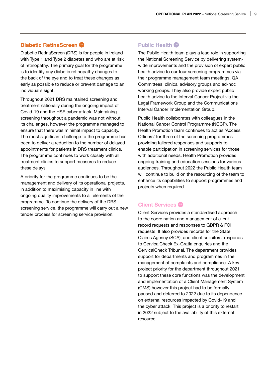#### **Diabetic RetinaScreen**

Diabetic RetinaScreen (DRS) is for people in Ireland with Type 1 and Type 2 diabetes and who are at risk of retinopathy. The primary goal for the programme is to identify any diabetic retinopathy changes to the back of the eye and to treat these changes as early as possible to reduce or prevent damage to an individual's sight.

Throughout 2021 DRS maintained screening and treatment nationally during the ongoing impact of Covid-19 and the HSE cyber attack. Maintaining screening throughout a pandemic was not without its challenges, however the programme managed to ensure that there was minimal impact to capacity. The most significant challenge to the programme has been to deliver a reduction to the number of delayed appointments for patients in DRS treatment clinics. The programme continues to work closely with all treatment clinics to support measures to reduce these delays.

A priority for the programme continues to be the management and delivery of its operational projects, in addition to maximising capacity in line with ongoing quality improvements to all elements of the programme. To continue the delivery of the DRS screening service, the programme will carry out a new tender process for screening service provision.

#### **Public Health**

The Public Health team plays a lead role in supporting the National Screening Service by delivering systemwide improvements and the provision of expert public health advice to our four screening programmes via their programme management team meetings, QA Committees, clinical advisory groups and ad-hoc working groups. They also provide expert public health advice to the Interval Cancer Project via the Legal Framework Group and the Communications Interval Cancer Implementation Group.

Public Health collaborates with colleagues in the National Cancer Control Programme (NCCP). The Health Promotion team continues to act as 'Access Officers' for three of the screening programmes providing tailored responses and supports to enable participation in screening services for those with additional needs. Health Promotion provides ongoing training and education sessions for various audiences. Throughout 2022 the Public Health team will continue to build on the resourcing of the team to enhance its capabilities to support programmes and projects when required.

#### **Client Services**

Client Services provides a standardised approach to the coordination and management of client record requests and responses to GDPR & FOI requests. It also provides records for the State Claims Agency (SCA), and client solicitors, responds to CervicalCheck Ex-Gratia enquiries and the CervicalCheck Tribunal. The department provides support for departments and programmes in the management of complaints and compliance. A key project priority for the department throughout 2021 to support these core functions was the development and implementation of a Client Management System (CMS) however this project had to be formally paused and deferred to 2022 due to its dependence on external resources impacted by Covid-19 and the cyber attack. This project is a priority to restart in 2022 subject to the availability of this external resource.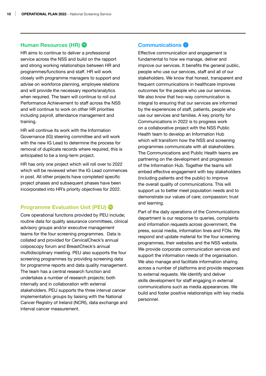### **Human Resources (HR)**

HR aims to continue to deliver a professional service across the NSS and build on the rapport and strong working relationships between HR and programmes/functions and staff. HR will work closely with programme managers to support and advise on workforce planning, employee relations and will provide the necessary reports/analytics when required. The team will continue to roll out Performance Achievement to staff across the NSS and will continue to work on other HR priorities including payroll, attendance management and training.

HR will continue its work with the Information Governance (IG) steering committee and will work with the new IG Lead to determine the process for removal of duplicate records where required, this is anticipated to be a long-term project.

HR has only one project which will roll over to 2022 which will be reviewed when the IG Lead commences in post. All other projects have completed specific project phases and subsequent phases have been incorporated into HR's priority objectives for 2022.

### **Programme Evaluation Unit (PEU)**

Core operational functions provided by PEU include; routine data for quality assurance committees, clinical advisory groups and/or executive management teams for the four screening programmes. Data is collated and provided for CervicalCheck's annual colposcopy forum and BreastCheck's annual multidisciplinary meeting. PEU also supports the four screening programmes by providing screening data for programme reports and data quality management. The team has a central research function and undertakes a number of research projects; both internally and in collaboration with external stakeholders. PEU supports the three interval cancer implementation groups by liaising with the National Cancer Registry of Ireland (NCRI), data exchange and interval cancer measurement.

#### **Communications**

Effective communication and engagement is fundamental to how we manage, deliver and improve our services. It benefits the general public, people who use our services, staff and all of our stakeholders. We know that honest, transparent and frequent communications in healthcare improves outcomes for the people who use our services. We also know that two-way communication is integral to ensuring that our services are informed by the experiences of staff, patients, people who use our services and families. A key priority for Communications in 2022 is to progress work on a collaborative project with the NSS Public Health team to develop an Information Hub which will transform how the NSS and screening programmes communicate with all stakeholders. The Communications and Public Health teams are partnering on the development and progression of the Information Hub. Together the teams will embed effective engagement with key stakeholders (including patients and the public) to improve the overall quality of communications. This will support us to better meet population needs and to demonstrate our values of care; compassion; trust and learning.

Part of the daily operations of the Communications department is our response to queries, complaints and information requests across government, the press, social media, information lines and FOIs. We respond and update material for the four screening programmes, their websites and the NSS website. We provide corporate communication services and support the information needs of the organisation. We also manage and facilitate information sharing across a number of platforms and provide responses to external requests. We identify and deliver skills development for staff engaging in external communications such as media appearances. We build and foster positive relationships with key media personnel.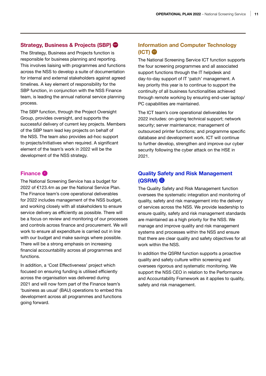#### **Strategy, Business & Projects (SBP)**

The Strategy, Business and Projects function is responsible for business planning and reporting. This involves liaising with programmes and functions across the NSS to develop a suite of documentation for internal and external stakeholders against agreed timelines. A key element of responsibility for the SBP function, in conjunction with the NSS Finance team, is leading the annual national service planning process.

The SBP function, through the Project Oversight Group, provides oversight, and supports the successful delivery of current key projects. Members of the SBP team lead key projects on behalf of the NSS. The team also provides ad-hoc support to projects/initiatives when required. A significant element of the team's work in 2022 will be the development of the NSS strategy.

### **Finance** <sup>F</sup>

The National Screening Service has a budget for 2022 of €123.4m as per the National Service Plan. The Finance team's core operational deliverables for 2022 includes management of the NSS budget, and working closely with all stakeholders to ensure service delivery as efficiently as possible. There will be a focus on review and monitoring of our processes and controls across finance and procurement. We will work to ensure all expenditure is carried out in line with our budget and make savings where possible. There will be a strong emphasis on increasing financial accountability across all programmes and functions.

In addition, a 'Cost Effectiveness' project which focused on ensuring funding is utilised efficiently across the organisation was delivered during 2021 and will now form part of the Finance team's 'business as usual' (BAU) operations to embed this development across all programmes and functions going forward.

## **Information and Computer Technology (ICT)** ©

The National Screening Service ICT function supports the four screening programmes and all associated support functions through the IT helpdesk and day-to-day support of IT 'patch' management. A key priority this year is to continue to support the continuity of all business functionalities achieved through remote working by ensuring end-user laptop/ PC capabilities are maintained.

The ICT team's core operational deliverables for 2022 includes: on-going technical support; network security; server maintenance; management of outsourced printer functions; and programme specific database and development work. ICT will continue to further develop, strengthen and improve our cyber security following the cyber attack on the HSE in 2021.

## **Quality Safety and Risk Management (QSRM)** QS RM

The Quality Safety and Risk Management function oversees the systematic integration and monitoring of quality, safety and risk management into the delivery of services across the NSS. We provide leadership to ensure quality, safety and risk management standards are maintained as a high priority for the NSS. We manage and improve quality and risk management systems and processes within the NSS and ensure that there are clear quality and safety objectives for all work within the NSS.

In addition the QSRM function supports a proactive quality and safety culture within screening and oversees rigorous and systematic monitoring. We support the NSS CEO in relation to the Performance and Accountability Framework as it applies to quality, safety and risk management.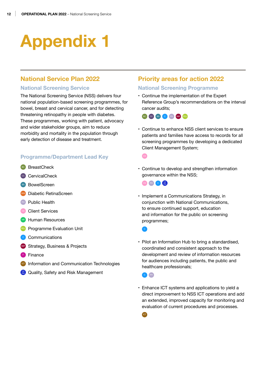# **Appendix 1**

## **National Service Plan 2022**

#### **National Screening Service**

The National Screening Service (NSS) delivers four national population-based screening programmes, for bowel, breast and cervical cancer, and for detecting threatening retinopathy in people with diabetes. These programmes, working with patient, advocacy and wider stakeholder groups, aim to reduce morbidity and mortality in the population through early detection of disease and treatment.

#### **Programme/Department Lead Key**

- BC BreastCheck
- cc CervicalCheck
- BS BowelScreen
- Drs Diabetic RetinaScreen
- **PH** Public Health
- Client Services
- **HR Human Resources**
- **PEU** Programme Evaluation Unit
- **C** Communications
- **SBP** Strategy, Business & Projects
- **F** Finance
- **ICT** Information and Communication Technologies
- **RM** Quality, Safety and Risk Management

## **Priority areas for action 2022**

#### **National Screening Programme**

• Continue the implementation of the Expert Reference Group's recommendations on the interval cancer audits;



• Continue to enhance NSS client services to ensure patients and families have access to records for all screening programmes by developing a dedicated Client Management System;

#### C<sub>S</sub>

• Continue to develop and strengthen information governance within the NSS;



• Implement a Communications Strategy, in conjunction with National Communications, to ensure continued support, education and information for the public on screening programmes;

C

• Pilot an Information Hub to bring a standardised, coordinated and consistent approach to the development and review of information resources for audiences including patients, the public and healthcare professionals;

C PH

• Enhance ICT systems and applications to yield a direct improvement to NSS ICT operations and add an extended, improved capacity for monitoring and evaluation of current procedures and processes.

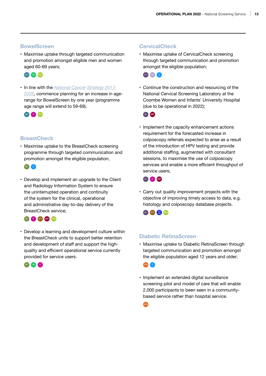#### **BowelScreen**

• Maximise uptake through targeted communication and promotion amongst eligible men and women aged 60-69 years;



• In line with the *[National Cancer Strategy 2017-](https://www.gov.ie/en/publication/a89819-national-cancer-strategy-2017-2026/) [2026](https://www.gov.ie/en/publication/a89819-national-cancer-strategy-2017-2026/)*, commence planning for an increase in agerange for BowelScreen by one year (programme age range will extend to 59-69).



### **BreastCheck**

• Maximise uptake to the BreastCheck screening programme through targeted communication and promotion amongst the eligible population;

BC C

• Develop and implement an upgrade to the Client and Radiology Information System to ensure the uninterrupted operation and continuity of the system for the clinical, operational and administrative day-to-day delivery of the BreastCheck service;



• Develop a learning and development culture within the BreastCheck units to support better retention and development of staff and support the highquality and efficient operational service currently provided for service users.



#### **CervicalCheck**

• Maximise uptake of CervicalCheck screening through targeted communication and promotion amongst the eligible population;



• Continue the construction and resourcing of the National Cervical Screening Laboratory at the Coombe Women and Infants' University Hospital (due to be operational in 2022);



• Implement the capacity enhancement actions requirement for the forecasted increase in colposcopy referrals expected to arise as a result of the introduction of HPV testing and provide additional staffing, augmented with consultant sessions, to maximise the use of colposcopy services and enable a more efficient throughput of service users;



• Carry out quality improvement projects with the objective of improving timely access to data, e.g. histology and colposcopy database projects.

CC ICT RM PEU

### **Diabetic RetinaScreen**

• Maximise uptake to Diabetic RetinaScreen through targeted communication and promotion amongst the eligible population aged 12 years and older;



• Implement an extended digital surveillance screening pilot and model of care that will enable 2,000 participants to been seen in a communitybased service rather than hospital service.